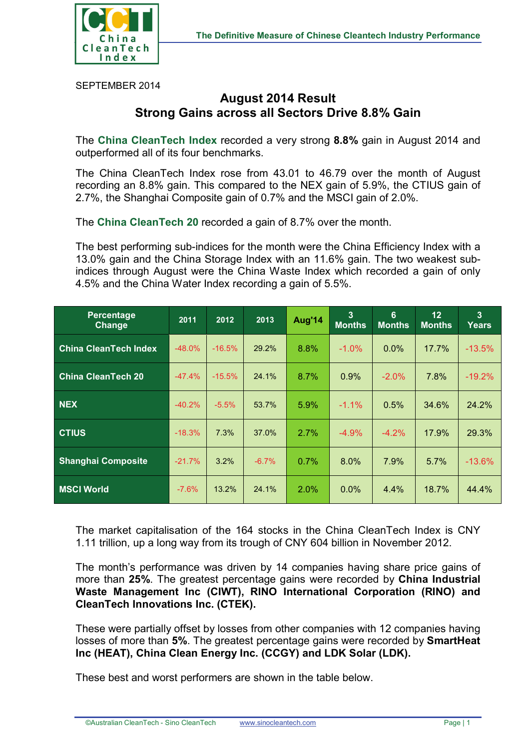

SEPTEMBER 2014

## **August 2014 Result Strong Gains across all Sectors Drive 8.8% Gain**

The **China CleanTech Index** recorded a very strong **8.8%** gain in August 2014 and outperformed all of its four benchmarks.

The China CleanTech Index rose from 43.01 to 46.79 over the month of August recording an 8.8% gain. This compared to the NEX gain of 5.9%, the CTIUS gain of 2.7%, the Shanghai Composite gain of 0.7% and the MSCI gain of 2.0%.

The **China CleanTech 20** recorded a gain of 8.7% over the month.

The best performing sub-indices for the month were the China Efficiency Index with a 13.0% gain and the China Storage Index with an 11.6% gain. The two weakest subindices through August were the China Waste Index which recorded a gain of only 4.5% and the China Water Index recording a gain of 5.5%.

| Percentage<br>Change         | 2011     | 2012     | 2013    | Aug'14  | 3<br><b>Months</b> | 6<br><b>Months</b> | 12 <sub>2</sub><br><b>Months</b> | 3<br>Years |
|------------------------------|----------|----------|---------|---------|--------------------|--------------------|----------------------------------|------------|
| <b>China CleanTech Index</b> | $-48.0%$ | $-16.5%$ | 29.2%   | 8.8%    | $-1.0\%$           | $0.0\%$            | 17.7%                            | $-13.5%$   |
| <b>China CleanTech 20</b>    | $-47.4%$ | $-15.5%$ | 24.1%   | 8.7%    | 0.9%               | $-2.0%$            | 7.8%                             | $-19.2%$   |
| <b>NEX</b>                   | $-40.2%$ | $-5.5%$  | 53.7%   | 5.9%    | $-1.1\%$           | 0.5%               | 34.6%                            | 24.2%      |
| <b>CTIUS</b>                 | $-18.3%$ | 7.3%     | 37.0%   | 2.7%    | $-4.9\%$           | $-4.2\%$           | 17.9%                            | 29.3%      |
| <b>Shanghai Composite</b>    | $-21.7%$ | 3.2%     | $-6.7%$ | 0.7%    | 8.0%               | 7.9%               | 5.7%                             | $-13.6%$   |
| <b>MSCI World</b>            | $-7.6%$  | 13.2%    | 24.1%   | $2.0\%$ | $0.0\%$            | 4.4%               | 18.7%                            | 44.4%      |

The market capitalisation of the 164 stocks in the China CleanTech Index is CNY 1.11 trillion, up a long way from its trough of CNY 604 billion in November 2012.

The month's performance was driven by 14 companies having share price gains of more than **25%**. The greatest percentage gains were recorded by **China Industrial Waste Management Inc (CIWT), RINO International Corporation (RINO) and CleanTech Innovations Inc. (CTEK).**

These were partially offset by losses from other companies with 12 companies having losses of more than **5%**. The greatest percentage gains were recorded by **SmartHeat Inc (HEAT), China Clean Energy Inc. (CCGY) and LDK Solar (LDK).**

These best and worst performers are shown in the table below.